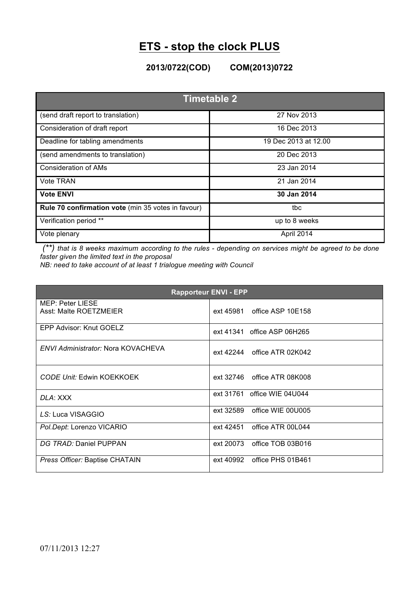## **ETS - stop the clock PLUS**

**2013/0722(COD) COM(2013)0722**

| <b>Timetable 2</b>                                 |                      |  |
|----------------------------------------------------|----------------------|--|
| (send draft report to translation)                 | 27 Nov 2013          |  |
| Consideration of draft report                      | 16 Dec 2013          |  |
| Deadline for tabling amendments                    | 19 Dec 2013 at 12.00 |  |
| (send amendments to translation)                   | 20 Dec 2013          |  |
| <b>Consideration of AMs</b>                        | 23 Jan 2014          |  |
| <b>Vote TRAN</b>                                   | 21 Jan 2014          |  |
| <b>Vote ENVI</b>                                   | 30 Jan 2014          |  |
| Rule 70 confirmation vote (min 35 votes in favour) | tbc                  |  |
| Verification period **                             | up to 8 weeks        |  |
| Vote plenary                                       | April 2014           |  |

*(\*\*) that is 8 weeks maximum according to the rules - depending on services might be agreed to be done faster given the limited text in the proposal*

*NB: need to take account of at least 1 trialogue meeting with Council*

| <b>Rapporteur ENVI - EPP</b>               |                             |  |
|--------------------------------------------|-----------------------------|--|
| MEP: Peter LIESE<br>Asst: Malte ROETZMEIER | ext 45981 office ASP 10E158 |  |
| EPP Advisor: Knut GOELZ                    | ext 41341 office ASP 06H265 |  |
| <b>ENVI Administrator: Nora KOVACHEVA</b>  | ext 42244 office ATR 02K042 |  |
| <b>CODE Unit: Edwin KOEKKOEK</b>           | ext 32746 office ATR 08K008 |  |
| DLA: XXX                                   | ext 31761 office WIE 04U044 |  |
| LS: Luca VISAGGIO                          | ext 32589 office WIE 00U005 |  |
| Pol.Dept: Lorenzo VICARIO                  | ext 42451 office ATR 00L044 |  |
| DG TRAD: Daniel PUPPAN                     | ext 20073 office TOB 03B016 |  |
| Press Officer: Baptise CHATAIN             | ext 40992 office PHS 01B461 |  |